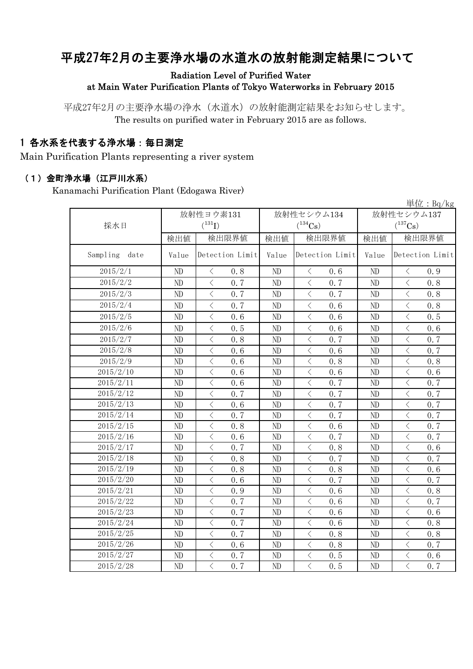# 平成27年2月の主要浄水場の水道水の放射能測定結果について

#### Radiation Level of Purified Water at Main Water Purification Plants of Tokyo Waterworks in February 2015

平成27年2月の主要浄水場の浄水(水道水)の放射能測定結果をお知らせします。 The results on purified water in February 2015 are as follows.

### 1 各水系を代表する浄水場:毎日測定

Main Purification Plants representing a river system

#### (1)金町浄水場(江戸川水系)

Kanamachi Purification Plant (Edogawa River)

|                  |          |                                                 |       |                                                 |                | 単位: $Bq/kg$                                     |  |
|------------------|----------|-------------------------------------------------|-------|-------------------------------------------------|----------------|-------------------------------------------------|--|
|                  |          | 放射性ヨウ素131                                       |       | 放射性セシウム134                                      | 放射性セシウム137     |                                                 |  |
| 採水日              |          | $(^{131}I)$                                     |       | $(^{134}Cs)$                                    |                | $(^{137}\mathrm{Cs})$                           |  |
|                  | 検出値      | 検出限界値                                           | 検出値   | 検出限界値                                           |                | 検出限界値                                           |  |
| Sampling<br>date | Value    | Detection Limit                                 | Value | Detection Limit                                 | Value          | Detection Limit                                 |  |
| 2015/2/1         | ND       | $\langle$<br>0.8                                | ND    | $\langle$<br>0.6                                | N <sub>D</sub> | $\langle$<br>0.9                                |  |
| 2015/2/2         | ND       | $\langle$<br>0.7                                | ND    | $\langle$<br>0.7                                | ND             | $\lt$<br>0, 8                                   |  |
| 2015/2/3         | ND       | $\langle$<br>0.7                                | ND    | $\lt$<br>0.7                                    | ND             | $\lt$<br>0.8                                    |  |
| 2015/2/4         | $\rm ND$ | $\langle$<br>0.7                                | ND    | $\overline{\left\langle \right\rangle }$<br>0.6 | ND             | $\langle$<br>0.8                                |  |
| 2015/2/5         | ND       | $\langle$<br>0.6                                | ND    | $\langle$<br>0.6                                | ND             | $\overline{\left\langle \right\rangle }$<br>0.5 |  |
| 2015/2/6         | ND       | $\,$ $\,$ $\,$<br>0.5                           | ND    | $\lt$<br>0, 6                                   | N <sub>D</sub> | $\,$ $\,$ $\,$<br>0.6                           |  |
| 2015/2/7         | ND       | $\,$ $\,$ $\,$<br>0.8                           | ND    | 0.7<br>$\langle$                                | ND             | $\lt$<br>0.7                                    |  |
| 2015/2/8         | ND       | $\overline{\left\langle \right\rangle }$<br>0.6 | ND    | $\overline{\langle}$<br>0, 6                    | N <sub>D</sub> | $\overline{\langle}$<br>0.7                     |  |
| 2015/2/9         | ND       | $\langle$<br>0.6                                | ND    | $\langle$<br>0.8                                | ND             | $\langle$<br>0.8                                |  |
| 2015/2/10        | ND       | $\langle$<br>0.6                                | ND    | $\,$ $\,$ $\,$<br>0.6                           | ND             | $\langle$<br>0.6                                |  |
| 2015/2/11        | ND       | $\langle$<br>0.6                                | ND    | $\,$ $\,$ $\,$<br>0.7                           | ND             | $\overline{\left\langle \right\rangle }$<br>0.7 |  |
| 2015/2/12        | ND       | $\lt$<br>0.7                                    | ND    | $\lt$<br>0.7                                    | ND             | $\lt$<br>0.7                                    |  |
| 2015/2/13        | ND       | $\lt$<br>0.6                                    | ND    | $\,$ $\,$ $\,$<br>0.7                           | ND             | $\,$ $\,$ $\,$<br>0.7                           |  |
| 2015/2/14        | ND       | $\overline{\left\langle \right\rangle }$<br>0.7 | ND    | $\langle$<br>0.7                                | ND             | $\overline{\left\langle \right\rangle }$<br>0.7 |  |
| 2015/2/15        | ND       | $\overline{\left\langle \right\rangle }$<br>0.8 | ND    | $\langle$<br>0.6                                | ND             | $\langle$<br>0.7                                |  |
| 2015/2/16        | ND       | $\overline{\langle}$<br>0.6                     | ND    | $\overline{\langle}$<br>0.7                     | ND             | $\overline{\left\langle \right\rangle }$<br>0.7 |  |
| 2015/2/17        | ND       | $\,$ $\,$ $\,$<br>0.7                           | ND    | $\lt$<br>0.8                                    | N <sub>D</sub> | $\langle$<br>0.6                                |  |
| 2015/2/18        | ND       | $\langle$<br>0.8                                | ND    | $\lt$<br>0.7                                    | N <sub>D</sub> | $\,$ $\,$ $\,$<br>0.7                           |  |
| 2015/2/19        | ND       | $\langle$<br>0.8                                | ND    | $\langle$<br>0, 8                               | ND             | $\langle$<br>0.6                                |  |
| 2015/2/20        | ND       | $\langle$<br>0.6                                | ND    | $\langle$<br>0.7                                | ND             | $\overline{\left\langle \right\rangle }$<br>0.7 |  |
| 2015/2/21        | ND       | $\overline{\left\langle \right\rangle }$<br>0.9 | ND    | $\,$ $\,$ $\,$<br>0.6                           | ND             | $\overline{\left\langle \right\rangle }$<br>0.8 |  |
| 2015/2/22        | ND       | $\overline{\left\langle \right\rangle }$<br>0.7 | ND    | $\langle$<br>0.6                                | N <sub>D</sub> | $\langle$<br>0.7                                |  |
| 2015/2/23        | ND       | $\langle$<br>0.7                                | ND    | $\langle$<br>0.6                                | N <sub>D</sub> | $\overline{\left\langle \right\rangle }$<br>0.6 |  |
| 2015/2/24        | ND       | $\,$ $\,$ $\,$<br>0.7                           | ND    | $\lt$<br>0.6                                    | ND             | $\,$ $\,$ $\,$<br>0.8                           |  |
| 2015/2/25        | ND       | $\lt$<br>0.7                                    | ND    | $\lt$<br>0.8                                    | ND             | $\lt$<br>0.8                                    |  |
| 2015/2/26        | ND       | $\lt$<br>0.6                                    | ND    | $\lt$<br>0.8                                    | ND             | $\,$ $\,$ $\,$<br>0.7                           |  |
| 2015/2/27        | ND       | $\langle$<br>0.7                                | ND    | $\,$ $\,$ $\,$<br>0.5                           | ND             | $\overline{\langle}$<br>0.6                     |  |
| 2015/2/28        | ND       | $\langle$<br>0.7                                | ND    | $\langle$<br>0.5                                | ND             | $\overline{\left\langle \right\rangle }$<br>0.7 |  |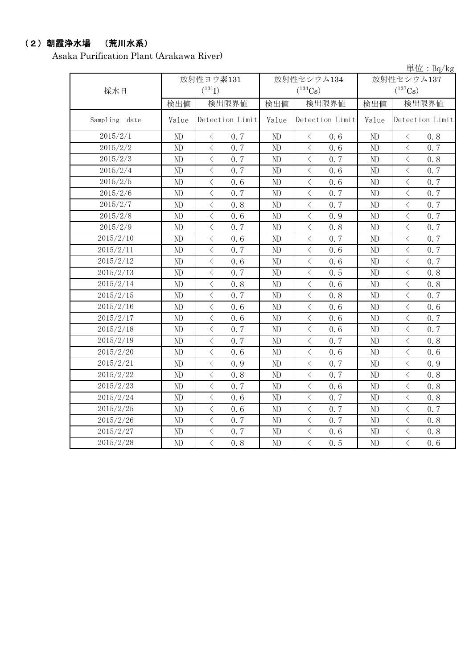## (2)朝霞浄水場 (荒川水系)

Asaka Purification Plant (Arakawa River)

|               |                             |                                                 |       |                                                 |                       | 単位: Bq/kg                          |  |  |
|---------------|-----------------------------|-------------------------------------------------|-------|-------------------------------------------------|-----------------------|------------------------------------|--|--|
|               |                             | 放射性ヨウ素131                                       |       | 放射性セシウム134                                      | 放射性セシウム137            |                                    |  |  |
| 採水日           | $(^{131}I)$<br>$(^{134}Cs)$ |                                                 |       |                                                 | $(^{137}\mathrm{Cs})$ |                                    |  |  |
|               | 検出値                         | 検出限界値                                           | 検出値   | 検出限界値                                           | 検出値                   | 検出限界値                              |  |  |
| Sampling date | Value                       | Detection Limit                                 | Value | Detection Limit                                 | Value                 | Detection Limit                    |  |  |
| 2015/2/1      | ND                          | $\langle$<br>0.7                                | ND    | $\langle$<br>0, 6                               | ND                    | $\,$ $\,$ $\,$<br>0.8              |  |  |
| 2015/2/2      | ND                          | $\overline{\left\langle \right\rangle }$<br>0.7 | ND    | $\langle$<br>0.6                                | ND                    | $\,$ $\,$ $\,$<br>0.7              |  |  |
| 2015/2/3      | ND                          | $\langle$<br>0.7                                | ND    | $\langle$<br>0.7                                | ND                    | $\langle$<br>0.8                   |  |  |
| 2015/2/4      | ND                          | $\,$ $\,$ $\,$<br>0.7                           | ND    | $\lt$<br>0.6                                    | ND                    | $\,$ $\,$ $\,$<br>0.7              |  |  |
| 2015/2/5      | ND                          | $\lt$<br>0.6                                    | ND    | $\langle$<br>0.6                                | ND                    | $\,$ $\,$ $\,$<br>0.7              |  |  |
| 2015/2/6      | ND                          | $\langle$<br>0.7                                | ND    | $\langle$<br>0.7                                | ND                    | $\langle$<br>0.7                   |  |  |
| 2015/2/7      | ND                          | $\langle$<br>0.8                                | ND    | $\hspace{0.1mm}\big\langle$<br>0.7              | ND                    | $\,$ $\,$ $\,$<br>0.7              |  |  |
| 2015/2/8      | ND                          | $\langle$<br>0.6                                | ND    | $\overline{\left\langle \right\rangle }$<br>0.9 | ND                    | $\,$ $\,$ $\,$<br>0.7              |  |  |
| 2015/2/9      | ND                          | $\bigg\langle$<br>0.7                           | ND    | $\hspace{0.5cm}\big\langle$<br>0.8              | ND                    | $\bigg\langle$<br>0.7              |  |  |
| 2015/2/10     | ND                          | $\lt$<br>0.6                                    | ND    | $\langle$<br>0.7                                | ND                    | $\lt$<br>0.7                       |  |  |
| 2015/2/11     | ND                          | $\langle$<br>0.7                                | ND    | $\langle$<br>0, 6                               | ND                    | $\langle$<br>0.7                   |  |  |
| 2015/2/12     | ND                          | $\overline{\left\langle \right\rangle }$<br>0.6 | ND    | $\lt$<br>0.6                                    | N <sub>D</sub>        | $\,$ $\,$ $\,$<br>0.7              |  |  |
| 2015/2/13     | ND                          | $\overline{\langle}$<br>0.7                     | ND    | $\langle$<br>0.5                                | N <sub>D</sub>        | $\overline{\langle}$<br>0.8        |  |  |
| 2015/2/14     | ND                          | $\lt$<br>0.8                                    | ND    | $\lt$<br>0.6                                    | ND                    | $\lt$<br>0.8                       |  |  |
| 2015/2/15     | ND                          | $\,$ $\,$ $\,$<br>0.7                           | ND    | $\langle$<br>0.8                                | ND                    | $\,$ $\,$ $\,$<br>0.7              |  |  |
| 2015/2/16     | ND                          | $\langle$<br>0.6                                | ND    | $\langle$<br>0.6                                | ND                    | $\langle$<br>0.6                   |  |  |
| 2015/2/17     | ND                          | $\langle$<br>0.6                                | ND    | $\lt$<br>0.6                                    | ND                    | $\,$ $\,$ $\,$<br>0.7              |  |  |
| 2015/2/18     | ND                          | $\langle$<br>0.7                                | ND    | $\langle$<br>0.6                                | ND                    | $\langle$<br>0.7                   |  |  |
| 2015/2/19     | ND                          | $\langle$<br>0.7                                | ND    | $\, \zeta \,$<br>0.7                            | ND                    | $\bigg\langle$<br>0.8              |  |  |
| 2015/2/20     | ND                          | $\hspace{0.5cm}\big\langle$<br>0.6              | ND    | $\,$ $\,$ $\,$<br>0.6                           | ND                    | $\hspace{0.1mm}\big\langle$<br>0.6 |  |  |
| 2015/2/21     | ND                          | $\lt$<br>0.9                                    | ND    | $\overline{\left\langle \right\rangle }$<br>0.7 | ND                    | $\,$ $\,$ $\,$<br>0.9              |  |  |
| 2015/2/22     | ND                          | $\langle$<br>0.8                                | ND    | $\lt$<br>0.7                                    | ND                    | $\,$ $\,$ $\,$<br>0.8              |  |  |
| 2015/2/23     | ND                          | $\langle$<br>0.7                                | ND    | $\langle$<br>0.6                                | ND                    | $\langle$<br>0.8                   |  |  |
| 2015/2/24     | ND                          | $\, \zeta \,$<br>0.6                            | ND    | $\, <\,$<br>0.7                                 | ND                    | $\, \zeta \,$<br>0.8               |  |  |
| 2015/2/25     | ND                          | $\lt$<br>0, 6                                   | ND    | $\langle$<br>0.7                                | N <sub>D</sub>        | $\langle$<br>0.7                   |  |  |
| 2015/2/26     | ND                          | $\langle$<br>0.7                                | ND    | $\langle$<br>0.7                                | ND                    | $\langle$<br>0.8                   |  |  |
| 2015/2/27     | ND                          | $\,$ $\,$ $\,$<br>0.7                           | ND    | $\lt$<br>0.6                                    | ND                    | $\,$ $\,$ $\,$<br>0.8              |  |  |
| 2015/2/28     | ND                          | $\overline{\left\langle \right\rangle }$<br>0.8 | ND    | $\overline{\langle}$<br>0.5                     | ND                    | $\overline{\langle}$<br>0, 6       |  |  |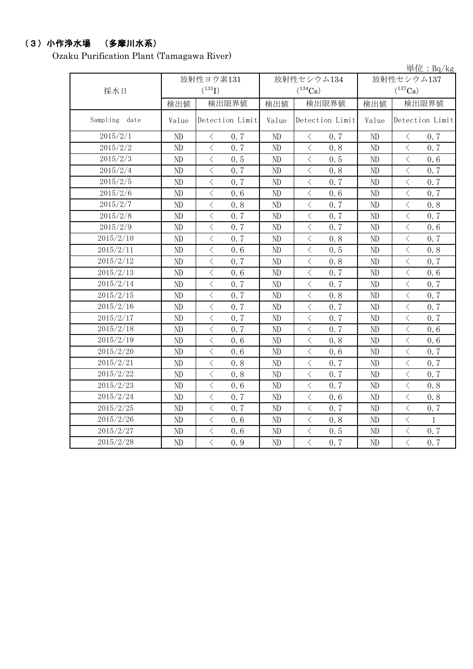### (3)小作浄水場 (多摩川水系)

Ozaku Purification Plant (Tamagawa River)

|                  |                     |                                    |          |                                                 |              | 単位: Bq/kg                                        |  |
|------------------|---------------------|------------------------------------|----------|-------------------------------------------------|--------------|--------------------------------------------------|--|
|                  |                     | 放射性ヨウ素131                          |          | 放射性セシウム134                                      | 放射性セシウム137   |                                                  |  |
| 採水日              |                     | $(^{131}I)$                        |          | $(^{134}Cs)$                                    | $(^{137}Cs)$ |                                                  |  |
|                  | 検出限界値<br>検出値<br>検出値 |                                    |          | 検出限界値                                           | 検出限界値<br>検出値 |                                                  |  |
| Sampling<br>date | Value               | Detection Limit                    | Value    | Detection Limit                                 | Value        | Detection Limit                                  |  |
| 2015/2/1         | ND                  | $\,$ $\,$ $\,$<br>0.7              | ND       | $\langle$<br>0.7                                | ND           | $\lt$<br>0.7                                     |  |
| 2015/2/2         | ND                  | $\langle$<br>0.7                   | ND       | $\langle$<br>0.8                                | ND           | $\langle$<br>0.7                                 |  |
| 2015/2/3         | ND                  | $\langle$<br>0.5                   | ND       | $\langle$<br>0.5                                | ND           | $\lt$<br>0.6                                     |  |
| 2015/2/4         | ND                  | $\langle$<br>0.7                   | ND       | $\langle$<br>0.8                                | ND           | $\lt$<br>0.7                                     |  |
| 2015/2/5         | ND                  | $\langle$<br>0.7                   | ND       | $\langle$<br>0.7                                | ND           | $\langle$<br>0.7                                 |  |
| 2015/2/6         | ND                  | $\langle$<br>0.6                   | ND       | $\langle$<br>0.6                                | ND           | $\overline{\left\langle \right\rangle }$<br>0.7  |  |
| 2015/2/7         | ND                  | $\langle$<br>0.8                   | ND       | $\,$ $\,$ $\,$<br>0.7                           | ND           | $\overline{\left\langle \right\rangle }$<br>0.8  |  |
| 2015/2/8         | ND                  | $\,$ $\,$ $\,$<br>0.7              | ND       | $\,$ $\,$ $\,$<br>0.7                           | ND           | $\overline{\left\langle \right\rangle }$<br>0.7  |  |
| 2015/2/9         | ND                  | $\,<\,$<br>0.7                     | ND       | $\,$ $\,$ $\,$<br>0.7                           | ND           | $\bigg\langle$<br>0.6                            |  |
| 2015/2/10        | ND                  | $\langle$<br>0.7                   | ND       | $\langle$<br>0.8                                | ND           | $\langle$<br>0.7                                 |  |
| 2015/2/11        | ND                  | $\lt$<br>0.6                       | ND       | $\lt$<br>0.5                                    | ND           | $\,$ $\,$ $\,$<br>0.8                            |  |
| 2015/2/12        | ND                  | $\langle$<br>0.7                   | ND       | $\langle$<br>0.8                                | ND           | $\overline{\left\langle \right\rangle }$<br>0.7  |  |
| 2015/2/13        | ND                  | $\langle$<br>0.6                   | ND       | $\langle$<br>0.7                                | ND           | $\langle$<br>0.6                                 |  |
| 2015/2/14        | ND                  | $\,$ $\,$ $\,$<br>0.7              | ND       | $\,$ $\,$ $\,$<br>0.7                           | ND           | $\,$ $\,$ $\,$<br>0.7                            |  |
| 2015/2/15        | ND                  | $\langle$<br>0.7                   | ND       | $\langle$<br>0.8                                | ND           | $\langle$<br>0.7                                 |  |
| 2015/2/16        | ND                  | $\,$ $\,$ $\,$<br>0.7              | $\rm ND$ | $\,$ $\,$ $\,$<br>0.7                           | ND           | $\overline{\left\langle \right\rangle }$<br>0.7  |  |
| 2015/2/17        | ND                  | $\langle$<br>0.7                   | ND       | $\langle$<br>0.7                                | ND           | $\overline{\left\langle \right\rangle }$<br>0.7  |  |
| 2015/2/18        | ND                  | $\lt$<br>0.7                       | ND       | $\langle$<br>0.7                                | ND           | $\langle$<br>0.6                                 |  |
| 2015/2/19        | ND                  | $\,<\,$<br>0.6                     | ND       | $\,$ $\,$ $\,$<br>0.8                           | ND           | $\,$ $\,$ $\,$<br>0.6                            |  |
| 2015/2/20        | ND                  | $\,$ $\,$ $\,$<br>0.6              | ND       | $\,$ $\,$ $\,$<br>0.6                           | ND           | $\hspace{0.1mm} <\hspace{0.1mm}$<br>0.7          |  |
| 2015/2/21        | ND                  | $\,$ $\,$ $\,$<br>0.8              | ND       | $\langle$<br>0.7                                | ND           | $\langle$<br>0.7                                 |  |
| 2015/2/22        | ND                  | $\,$ $\,$ $\,$<br>0.8              | ND       | $\overline{\left\langle \right\rangle }$<br>0.7 | ND           | $\overline{\left\langle \right\rangle }$<br>0.7  |  |
| 2015/2/23        | ND                  | $\,$ $\,$ $\,$<br>0.6              | ND       | $\,$ $\,$ $\,$<br>0.7                           | ND           | $\,$ $\,$ $\,$<br>0.8                            |  |
| 2015/2/24        | ND                  | $\hspace{0.5cm}\big\langle$<br>0.7 | ND       | $\hspace{0.1mm} <\hspace{0.1mm}$<br>0.6         | ND           | $\,$ $\,$ $\,$<br>0.8                            |  |
| 2015/2/25        | ND                  | $\, < \,$<br>0.7                   | ND       | $\,$ $\,$ $\,$<br>0.7                           | ND           | $\lt$<br>0.7                                     |  |
| 2015/2/26        | ND                  | $\langle$<br>0.6                   | ND       | $\langle$<br>0.8                                | ND           | $\langle$<br>$\mathbf{1}$                        |  |
| 2015/2/27        | ND                  | $\,<\,$<br>0.6                     | ND       | $\,$ $\,$ $\,$<br>0.5                           | ND           | $\,$ $\,$ $\,$<br>0.7                            |  |
| 2015/2/28        | ND                  | $\overline{\langle}$<br>0.9        | ND       | $\overline{\langle}$<br>0.7                     | ND           | $\overline{\left\langle \right\rangle }$<br>0, 7 |  |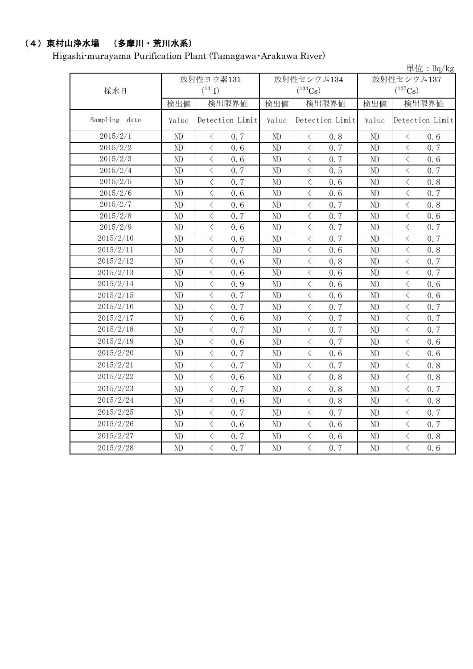## (4)東村山浄水場 (多摩川・荒川水系)

Higashi-murayama Purification Plant (Tamagawa・Arakawa River)

|                  |                |                                                                                                                                                                                     |          |                                    |                       | 単位: $Bq/kg$                                     |  |  |
|------------------|----------------|-------------------------------------------------------------------------------------------------------------------------------------------------------------------------------------|----------|------------------------------------|-----------------------|-------------------------------------------------|--|--|
|                  |                | 放射性ヨウ素131                                                                                                                                                                           |          | 放射性セシウム134                         | 放射性セシウム137            |                                                 |  |  |
| 採水日              |                | $(^{131}I)$                                                                                                                                                                         |          | $(^{134}Cs)$                       | $(^{137}\mathrm{Cs})$ |                                                 |  |  |
|                  | 検出値            | 検出限界値                                                                                                                                                                               | 検出値      | 検出限界値                              | 検出値                   | 検出限界値                                           |  |  |
| Sampling<br>date | Value          | Detection Limit                                                                                                                                                                     | Value    | Detection Limit                    | Value                 | Detection Limit                                 |  |  |
| 2015/2/1         | N <sub>D</sub> | $\big\langle$<br>0.7                                                                                                                                                                | ND       | $\langle$<br>0.8                   | ND                    | $\, <\,$<br>0.6                                 |  |  |
| 2015/2/2         | $\rm ND$       | $\langle$<br>0.6                                                                                                                                                                    | ND       | $\langle$<br>0.7                   | ND                    | $\langle$<br>0.7                                |  |  |
| 2015/2/3         | ND             | $\overline{\left\langle \right\rangle }$<br>0.6                                                                                                                                     | ND       | $\langle$<br>0.7                   | ND                    | $\overline{\left\langle \right\rangle }$<br>0.6 |  |  |
| 2015/2/4         | ND             | $\langle$<br>0.7                                                                                                                                                                    | ND       | $\langle$<br>0.5                   | ND                    | $\langle$<br>0.7                                |  |  |
| 2015/2/5         | ND             | $\lt$<br>0.7                                                                                                                                                                        | ND       | $\,$ $\,$ $\,$<br>0.6              | ND                    | $\,$ $\,$ $\,$<br>0.8                           |  |  |
| 2015/2/6         | ND             | $\lt$<br>0.6                                                                                                                                                                        | ND       | $\,$ $\,$ $\,$<br>0.6              | ND                    | $\lt$<br>0.7                                    |  |  |
| 2015/2/7         | ND             | $\, < \,$<br>0.6                                                                                                                                                                    | ND       | 0.7<br>$\lt$                       | ND                    | $\lt$<br>0.8                                    |  |  |
| 2015/2/8         | ND             | $\lt$<br>0.7                                                                                                                                                                        | ND       | $\langle$<br>0.7                   | ND                    | $\langle$<br>0.6                                |  |  |
| 2015/2/9         | ND             | $\langle$<br>0.6                                                                                                                                                                    | ND       | $\hspace{0.1cm}\big\langle$<br>0.7 | ND                    | $\langle$<br>0.7                                |  |  |
| 2015/2/10        | ND             | $\langle$<br>0.6                                                                                                                                                                    | ND       | $\,$ $\,$ $\,$<br>0.7              | ND                    | $\lt$<br>0.7                                    |  |  |
| 2015/2/11        | ND             | $\langle$<br>0.7                                                                                                                                                                    | $\rm ND$ | $\langle$<br>0.6                   | ND                    | $\langle$<br>0.8                                |  |  |
| 2015/2/12        | ND             | $\langle$<br>0.6                                                                                                                                                                    | ND       | $\hspace{0.1cm}\big\langle$<br>0.8 | ND                    | $\overline{\left\langle \right\rangle }$<br>0.7 |  |  |
| 2015/2/13        | ND             | $\,$ $\,$ $\,$<br>0.6                                                                                                                                                               | ND       | $\,$ $\,$ $\,$<br>0.6              | ND                    | $\,$ $\,$ $\,$<br>0.7                           |  |  |
| 2015/2/14        | ND             | $\lt$<br>0.9                                                                                                                                                                        | ND       | $\,$ $\,$ $\,$<br>0.6              | ND                    | $\langle$<br>0.6                                |  |  |
| 2015/2/15        | ND             | $\langle$<br>0.7                                                                                                                                                                    | ND       | $\,$ $\,$ $\,$<br>0.6              | ND                    | $\overline{\left\langle \right\rangle }$<br>0.6 |  |  |
| 2015/2/16        | ND             | $\overline{\left\langle \right. }% ,\left\langle \overline{\left\langle \right. }% ,\left\langle \overline{\left\langle \right. }\right\rangle \right\rangle \left. \right.$<br>0.7 | ND       | $\,$ $\,$ $\,$<br>0.7              | ND                    | $\overline{\left\langle \right\rangle }$<br>0.7 |  |  |
| 2015/2/17        | ND             | $\langle$<br>0.6                                                                                                                                                                    | ND       | $\langle$<br>0.7                   | ND                    | $\langle$<br>0.7                                |  |  |
| 2015/2/18        | ND             | $\lt$<br>0.7                                                                                                                                                                        | ND       | $\,$ $\,$ $\,$<br>0.7              | ND                    | $\,$ $\,$ $\,$<br>0.7                           |  |  |
| 2015/2/19        | $\rm ND$       | $\langle$<br>0.6                                                                                                                                                                    | $\rm ND$ | $\langle$<br>0.7                   | $\rm ND$              | $\langle$<br>0.6                                |  |  |
| 2015/2/20        | ND             | $\langle$<br>0.7                                                                                                                                                                    | ND       | $\,$ $\,$ $\,$<br>0.6              | ND                    | $\overline{\left\langle \right\rangle }$<br>0.6 |  |  |
| 2015/2/21        | ND             | $\overline{\left\langle \right\rangle }$<br>0.7                                                                                                                                     | ND       | $\langle$<br>0.7                   | ND                    | $\langle$<br>0.8                                |  |  |
| 2015/2/22        | ND             | $\, < \,$<br>0.6                                                                                                                                                                    | ND       | $\, < \,$<br>0.8                   | ND                    | $\lt$<br>0.8                                    |  |  |
| 2015/2/23        | ND             | $\langle$<br>0.7                                                                                                                                                                    | ND       | $\langle$<br>0.8                   | ND                    | $\langle$<br>0.7                                |  |  |
| 2015/2/24        | ND             | $\langle$<br>0, 6                                                                                                                                                                   | ND       | $\,$ $\,$ $\,$<br>0.8              | ND                    | $\langle$<br>0.8                                |  |  |
| 2015/2/25        | ND             | $\langle$<br>0.7                                                                                                                                                                    | ND       | $\langle$<br>0.7                   | ND                    | $\langle$<br>0.7                                |  |  |
| 2015/2/26        | ND             | $\, <\,$<br>0.6                                                                                                                                                                     | $\rm ND$ | $\, \leq$<br>0.6                   | ND                    | $\, \zeta \,$<br>0.7                            |  |  |
| 2015/2/27        | ND             | $\langle$<br>0.7                                                                                                                                                                    | ND       | $\langle$<br>0.6                   | ND                    | $\langle$<br>0.8                                |  |  |
| 2015/2/28        | ND             | $\overline{\left\langle \right\rangle }$<br>0.7                                                                                                                                     | ND       | $\,$ $\,$ $\,$<br>0.7              | ND                    | $\langle$<br>0.6                                |  |  |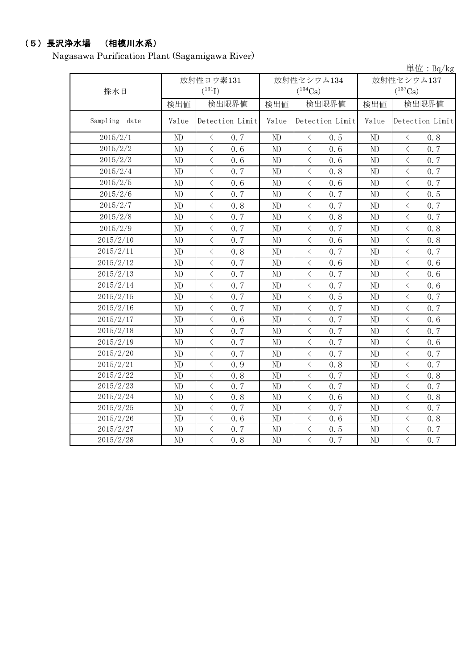# (5)長沢浄水場 (相模川水系)

Nagasawa Purification Plant (Sagamigawa River)

|                  |                          |                      |                 |                |                            |                 |                            |                                          | 単位: $Bq/kg$     |
|------------------|--------------------------|----------------------|-----------------|----------------|----------------------------|-----------------|----------------------------|------------------------------------------|-----------------|
| 採水日              | 放射性ヨウ素131<br>$(^{131}I)$ |                      |                 |                | 放射性セシウム134<br>$(^{134}Cs)$ |                 | 放射性セシウム137<br>$(^{137}Cs)$ |                                          |                 |
|                  | 検出値                      |                      | 検出限界値           | 検出値            | 検出限界値                      |                 | 検出値                        | 検出限界値                                    |                 |
| Sampling<br>date | Value                    |                      | Detection Limit | Value          |                            | Detection Limit | Value                      |                                          | Detection Limit |
| 2015/2/1         | ND                       | $\langle$            | 0.7             | ND             | $\langle$                  | 0.5             | ND                         | $\, \leq$                                | 0.8             |
| 2015/2/2         | ND                       | $\langle$            | 0, 6            | N <sub>D</sub> | $\langle$                  | 0.6             | ND                         | $\langle$                                | 0.7             |
| 2015/2/3         | ND                       | $\, < \,$            | 0.6             | ND             | $\lt$                      | 0.6             | ND                         | $\,$ $\,$ $\,$                           | 0.7             |
| 2015/2/4         | ND                       | $\langle$            | 0.7             | ND             | $\,$ $\,$ $\,$             | 0.8             | ND                         | $\,$ $\,$ $\,$                           | 0.7             |
| 2015/2/5         | ND                       | $\lt$                | 0, 6            | ND             | $\lt$                      | 0.6             | ND                         | $\lt$                                    | 0.7             |
| 2015/2/6         | ND                       | $\overline{\langle}$ | 0.7             | ND             | $\langle$                  | 0.7             | ND                         | $\overline{\langle}$                     | 0.5             |
| 2015/2/7         | ND                       | $\bigg\langle$       | 0.8             | ND             | $\langle$                  | 0.7             | ND                         | $\bigg\langle$                           | 0.7             |
| 2015/2/8         | ND                       | $\lt$                | 0.7             | ND             | $\lt$                      | 0.8             | ND                         | $\lt$                                    | 0.7             |
| 2015/2/9         | ND                       | $\langle$            | 0.7             | ND             | $\langle$                  | 0.7             | N <sub>D</sub>             | $\overline{\left\langle \right\rangle }$ | 0, 8            |
| 2015/2/10        | ND                       | $\langle$            | 0.7             | ND             | $\langle$                  | 0.6             | ND                         | $\overline{\left\langle \right\rangle }$ | 0.8             |
| 2015/2/11        | ND                       | $\, \zeta \,$        | 0.8             | ND             | $\lt$                      | 0.7             | ND                         | $\lt$                                    | 0.7             |
| 2015/2/12        | ND                       | $\langle$            | 0.7             | ND             | $\langle$                  | 0.6             | ND                         | $\lt$                                    | 0, 6            |
| 2015/2/13        | ND                       | $\langle$            | 0.7             | ND             | $\langle$                  | 0.7             | ND                         | $\,$ $\,$ $\,$                           | 0.6             |
| 2015/2/14        | ND                       | $\lt$                | 0.7             | ND             | $\lt$                      | 0.7             | ND                         | $\lt$                                    | 0.6             |
| 2015/2/15        | ND                       | $\overline{\langle}$ | 0.7             | ND             | $\langle$                  | 0.5             | ND                         | $\overline{\langle}$                     | 0.7             |
| 2015/2/16        | ND                       | $\lt$                | 0.7             | ND             | $\, < \,$                  | 0.7             | ND                         | $\bigg\langle$                           | 0.7             |
| 2015/2/17        | ND                       | $\lt$                | 0.6             | ND             | $\,$ $\,$ $\,$             | 0.7             | ND                         | $\bigg\langle$                           | 0.6             |
| 2015/2/18        | ND                       | $\langle$            | 0.7             | ND             | $\langle$                  | 0.7             | ND                         | $\langle$                                | 0.7             |
| 2015/2/19        | ND                       | $\langle$            | 0.7             | ND             | $\langle$                  | 0.7             | ND                         | $\overline{\left\langle \right\rangle }$ | 0.6             |
| 2015/2/20        | ND                       | $\lt$                | 0.7             | ND             | $\,$ $\,$ $\,$             | 0.7             | ND                         | $\,$ $\,$ $\,$                           | 0.7             |
| 2015/2/21        | ND                       | $\lt$                | 0.9             | ND             | $\, < \,$                  | 0.8             | ND                         | $\langle$                                | 0.7             |
| 2015/2/22        | ND                       | $\lt$                | 0.8             | ND             | $\, < \,$                  | 0.7             | ND                         | $\lt$                                    | 0.8             |
| 2015/2/23        | ND                       | $\lt$                | 0.7             | ND             | $\lt$                      | 0.7             | ND                         | $\lt$                                    | 0.7             |
| 2015/2/24        | ND                       | $\lt$                | 0.8             | ND             | $\langle$                  | 0.6             | ND                         | $\,$ $\,$ $\,$                           | 0.8             |
| 2015/2/25        | ND                       | $\lt$                | 0.7             | ND             | $\langle$                  | 0.7             | ND                         | $\lt$                                    | 0.7             |
| 2015/2/26        | ND                       | $\langle$            | 0.6             | ND             | $\langle$                  | 0.6             | ND                         | $\langle$                                | 0.8             |
| 2015/2/27        | ND                       | $\bigg\langle$       | 0.7             | ND             | $\langle$                  | 0.5             | ND                         | $\bigg\langle$                           | 0.7             |
| 2015/2/28        | ND                       | $\overline{\langle}$ | 0.8             | ND             | $\overline{\langle}$       | 0.7             | N <sub>D</sub>             | $\overline{\langle}$                     | 0.7             |